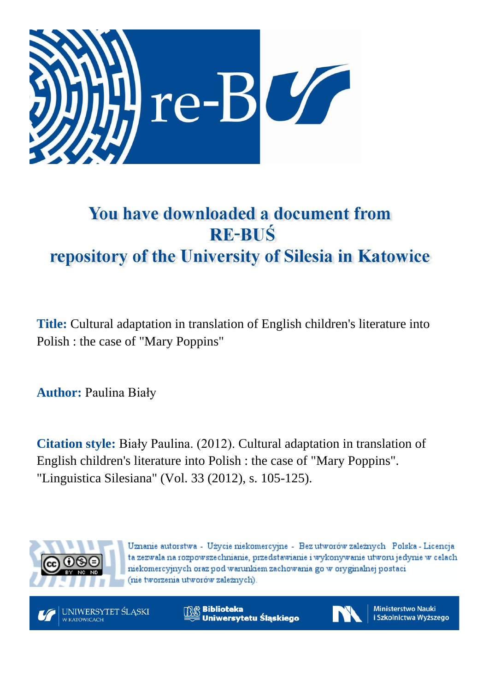

# You have downloaded a document from **RE-BUŚ** repository of the University of Silesia in Katowice

**Title:** Cultural adaptation in translation of English children's literature into Polish : the case of "Mary Poppins"

**Author:** Paulina Biały

**Citation style:** Biały Paulina. (2012). Cultural adaptation in translation of English children's literature into Polish : the case of "Mary Poppins". "Linguistica Silesiana" (Vol. 33 (2012), s. 105-125).



Uznanie autorstwa - Użycie niekomercyjne - Bez utworów zależnych Polska - Licencja ta zezwala na rozpowszechnianie, przedstawianie i wykonywanie utworu jedynie w celach niekomercyjnych oraz pod warunkiem zachowania go w oryginalnej postaci (nie tworzenia utworów zależnych).



**Biblioteka** Uniwersytetu Śląskiego



**Ministerstwo Nauki** i Szkolnictwa Wyższego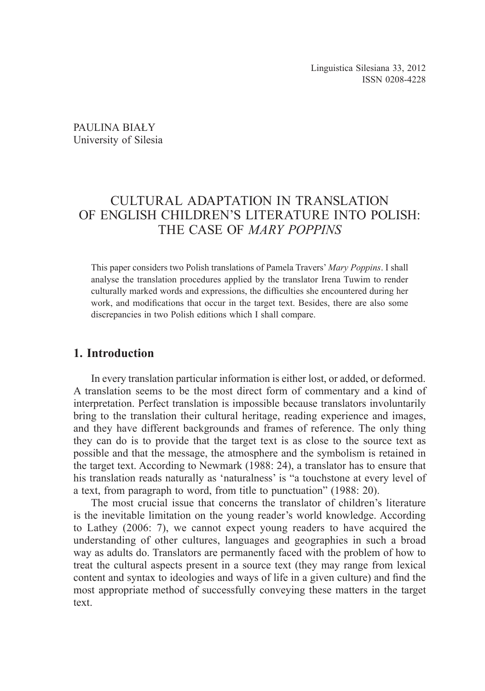PAULINA BIAŁY University of Silesia

## CULTURAL ADAPTATION IN TRANSLATION OF ENGLISH CHILDREN'S LITERATURE INTO POLISH: THE CASE OF *MARY POPPINS*

This paper considers two Polish translations of Pamela Travers' *Mary Poppins*. I shall analyse the translation procedures applied by the translator Irena Tuwim to render culturally marked words and expressions, the difficulties she encountered during her work, and modifications that occur in the target text. Besides, there are also some discrepancies in two Polish editions which I shall compare.

## **1. Introduction**

In every translation particular information is either lost, or added, or deformed. A translation seems to be the most direct form of commentary and a kind of interpretation. Perfect translation is impossible because translators involuntarily bring to the translation their cultural heritage, reading experience and images, and they have different backgrounds and frames of reference. The only thing they can do is to provide that the target text is as close to the source text as possible and that the message, the atmosphere and the symbolism is retained in the target text. According to Newmark (1988: 24), a translator has to ensure that his translation reads naturally as 'naturalness' is "a touchstone at every level of a text, from paragraph to word, from title to punctuation" (1988: 20).

The most crucial issue that concerns the translator of children's literature is the inevitable limitation on the young reader's world knowledge. According to Lathey (2006: 7), we cannot expect young readers to have acquired the understanding of other cultures, languages and geographies in such a broad way as adults do. Translators are permanently faced with the problem of how to treat the cultural aspects present in a source text (they may range from lexical content and syntax to ideologies and ways of life in a given culture) and find the most appropriate method of successfully conveying these matters in the target text.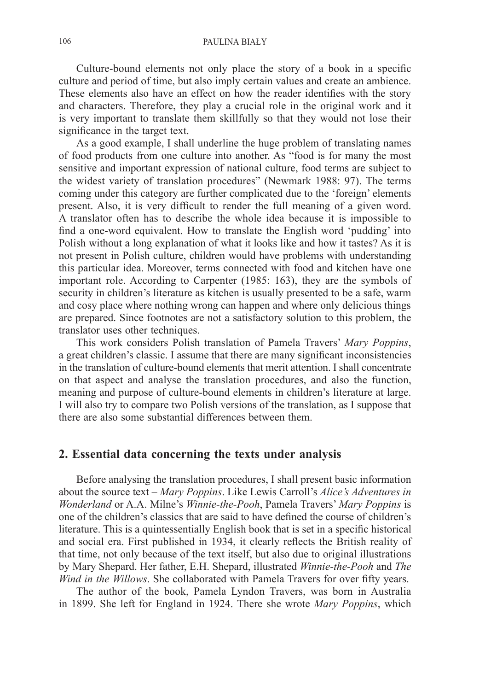Culture-bound elements not only place the story of a book in a specific culture and period of time, but also imply certain values and create an ambience. These elements also have an effect on how the reader identifies with the story and characters. Therefore, they play a crucial role in the original work and it is very important to translate them skillfully so that they would not lose their significance in the target text.

As a good example, I shall underline the huge problem of translating names of food products from one culture into another. As "food is for many the most sensitive and important expression of national culture, food terms are subject to the widest variety of translation procedures" (Newmark 1988: 97). The terms coming under this category are further complicated due to the 'foreign' elements present. Also, it is very difficult to render the full meaning of a given word. A translator often has to describe the whole idea because it is impossible to find a one-word equivalent. How to translate the English word 'pudding' into Polish without a long explanation of what it looks like and how it tastes? As it is not present in Polish culture, children would have problems with understanding this particular idea. Moreover, terms connected with food and kitchen have one important role. According to Carpenter (1985: 163), they are the symbols of security in children's literature as kitchen is usually presented to be a safe, warm and cosy place where nothing wrong can happen and where only delicious things are prepared. Since footnotes are not a satisfactory solution to this problem, the translator uses other techniques.

This work considers Polish translation of Pamela Travers' *Mary Poppins*, a great children's classic. I assume that there are many significant inconsistencies in the translation of culture-bound elements that merit attention. I shall concentrate on that aspect and analyse the translation procedures, and also the function, meaning and purpose of culture-bound elements in children's literature at large. I will also try to compare two Polish versions of the translation, as I suppose that there are also some substantial differences between them.

## **2. Essential data concerning the texts under analysis**

Before analysing the translation procedures, I shall present basic information about the source text – *Mary Poppins*. Like Lewis Carroll's *Alice's Adventures in Wonderland* or A.A. Milne's *Winnie-the-Pooh*, Pamela Travers' *Mary Poppins* is one of the children's classics that are said to have defined the course of children's literature. This is a quintessentially English book that is set in a specific historical and social era. First published in 1934, it clearly reflects the British reality of that time, not only because of the text itself, but also due to original illustrations by Mary Shepard. Her father, E.H. Shepard, illustrated *Winnie-the-Pooh* and *The Wind in the Willows*. She collaborated with Pamela Travers for over fifty years.

The author of the book, Pamela Lyndon Travers, was born in Australia in 1899. She left for England in 1924. There she wrote *Mary Poppins*, which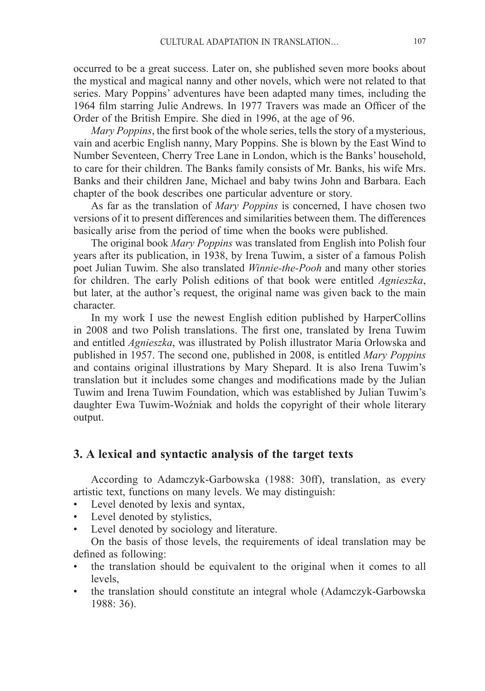occurred to be a great success. Later on, she published seven more books about the mystical and magical nanny and other novels, which were not related to that series. Mary Poppins' adventures have been adapted many times, including the 1964 film starring Julie Andrews. In 1977 Travers was made an Officer of the Order of the British Empire. She died in 1996, at the age of 96.

*Mary Poppins*, the first book of the whole series, tells the story of a mysterious, vain and acerbic English nanny, Mary Poppins. She is blown by the East Wind to Number Seventeen, Cherry Tree Lane in London, which is the Banks' household, to care for their children. The Banks family consists of Mr. Banks, his wife Mrs. Banks and their children Jane, Michael and baby twins John and Barbara. Each chapter of the book describes one particular adventure or story.

As far as the translation of *Mary Poppins* is concerned, I have chosen two versions of it to present differences and similarities between them. The differences basically arise from the period of time when the books were published.

The original book *Mary Poppins* was translated from English into Polish four years after its publication, in 1938, by Irena Tuwim, a sister of a famous Polish poet Julian Tuwim. She also translated *Winnie-the-Pooh* and many other stories for children. The early Polish editions of that book were entitled *Agnieszka*, but later, at the author's request, the original name was given back to the main character.

In my work I use the newest English edition published by HarperCollins in 2008 and two Polish translations. The first one, translated by Irena Tuwim and entitled *Agnieszka*, was illustrated by Polish illustrator Maria Orłowska and published in 1957. The second one, published in 2008, is entitled *Mary Poppins* and contains original illustrations by Mary Shepard. It is also Irena Tuwim's translation but it includes some changes and modifications made by the Julian Tuwim and Irena Tuwim Foundation, which was established by Julian Tuwim's daughter Ewa Tuwim-Woźniak and holds the copyright of their whole literary output.

## **3. A lexical and syntactic analysis of the target texts**

According to Adamczyk-Garbowska (1988: 30ff), translation, as every artistic text, functions on many levels. We may distinguish:

- Level denoted by lexis and syntax,
- Level denoted by stylistics,
- Level denoted by sociology and literature.

On the basis of those levels, the requirements of ideal translation may be defined as following:

- the translation should be equivalent to the original when it comes to all levels,
- the translation should constitute an integral whole (Adamczyk-Garbowska) 1988: 36).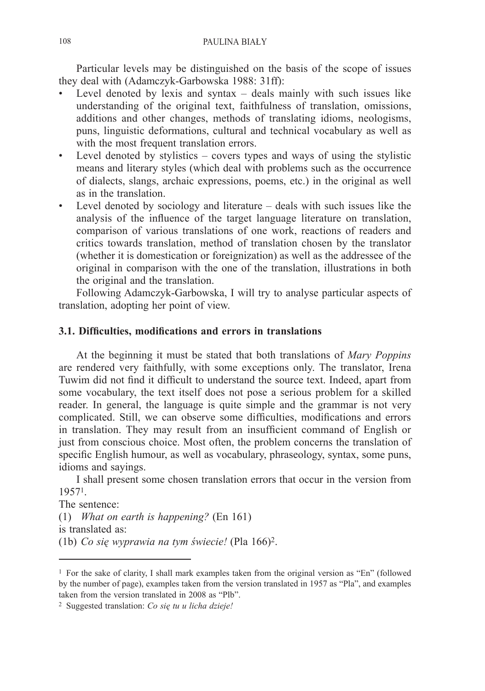Particular levels may be distinguished on the basis of the scope of issues they deal with (Adamczyk-Garbowska 1988: 31ff):

- Level denoted by lexis and syntax  $-$  deals mainly with such issues like understanding of the original text, faithfulness of translation, omissions, additions and other changes, methods of translating idioms, neologisms, puns, linguistic deformations, cultural and technical vocabulary as well as with the most frequent translation errors.
- Level denoted by stylistics covers types and ways of using the stylistic means and literary styles (which deal with problems such as the occurrence of dialects, slangs, archaic expressions, poems, etc.) in the original as well as in the translation.
- Level denoted by sociology and literature deals with such issues like the analysis of the influence of the target language literature on translation, comparison of various translations of one work, reactions of readers and critics towards translation, method of translation chosen by the translator (whether it is domestication or foreignization) as well as the addressee of the original in comparison with the one of the translation, illustrations in both the original and the translation.

Following Adamczyk-Garbowska, I will try to analyse particular aspects of translation, adopting her point of view.

#### **3.1. Difficulties, modifications and errors in translations**

At the beginning it must be stated that both translations of *Mary Poppins* are rendered very faithfully, with some exceptions only. The translator, Irena Tuwim did not find it difficult to understand the source text. Indeed, apart from some vocabulary, the text itself does not pose a serious problem for a skilled reader. In general, the language is quite simple and the grammar is not very complicated. Still, we can observe some difficulties, modifications and errors in translation. They may result from an insufficient command of English or just from conscious choice. Most often, the problem concerns the translation of specific English humour, as well as vocabulary, phraseology, syntax, some puns, idioms and sayings.

I shall present some chosen translation errors that occur in the version from 19571.

The sentence:

(1) *What on earth is happening?* (En 161)

is translated as:

(1b) *Co się wyprawia na tym świecie!* (Pla 166)2.

<sup>1</sup> For the sake of clarity, I shall mark examples taken from the original version as "En" (followed by the number of page), examples taken from the version translated in 1957 as "Pla", and examples taken from the version translated in 2008 as "Plb".

<sup>2</sup> Suggested translation: *Co się tu u licha dzieje!*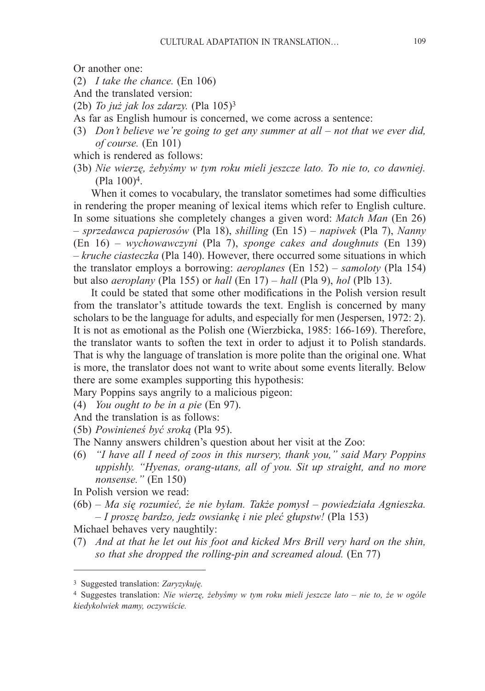Or another one:

(2) *I take the chance.* (En 106)

And the translated version:

- (2b) *To już jak los zdarzy.* (Pla 105)<sup>3</sup>
- As far as English humour is concerned, we come across a sentence:
- (3) *Don't believe we're going to get any summer at all – not that we ever did, of course.* (En 101)
- which is rendered as follows:
- (3b) *Nie wierzę, żebyśmy w tym roku mieli jeszcze lato. To nie to, co dawniej.* (Pla 100)4.

When it comes to vocabulary, the translator sometimes had some difficulties in rendering the proper meaning of lexical items which refer to English culture. In some situations she completely changes a given word: *Match Man* (En 26) – *sprzedawca papierosów* (Pla 18), *shilling* (En 15) – *napiwek* (Pla 7), *Nanny* (En 16) – *wychowawczyni* (Pla 7), *sponge cakes and doughnuts* (En 139) – *kruche ciasteczka* (Pla 140). However, there occurred some situations in which the translator employs a borrowing: *aeroplanes* (En 152) – *samoloty* (Pla 154) but also *aeroplany* (Pla 155) or *hall* (En 17) – *hall* (Pla 9), *hol* (Plb 13).

It could be stated that some other modifications in the Polish version result from the translator's attitude towards the text. English is concerned by many scholars to be the language for adults, and especially for men (Jespersen, 1972: 2). It is not as emotional as the Polish one (Wierzbicka, 1985: 166-169). Therefore, the translator wants to soften the text in order to adjust it to Polish standards. That is why the language of translation is more polite than the original one. What is more, the translator does not want to write about some events literally. Below there are some examples supporting this hypothesis:

Mary Poppins says angrily to a malicious pigeon:

- (4) *You ought to be in a pie* (En 97).
- And the translation is as follows:
- (5b) *Powinieneś być sroką* (Pla 95).
- The Nanny answers children's question about her visit at the Zoo:
- (6) *"I have all I need of zoos in this nursery, thank you," said Mary Poppins uppishly. "Hyenas, orang-utans, all of you. Sit up straight, and no more nonsense."* (En 150)

In Polish version we read:

(6b) *– Ma się rozumieć, że nie byłam. Także pomysł – powiedziała Agnieszka. – I proszę bardzo, jedz owsiankę i nie pleć głupstw!* (Pla 153)

Michael behaves very naughtily:

(7) *And at that he let out his foot and kicked Mrs Brill very hard on the shin, so that she dropped the rolling-pin and screamed aloud.* (En 77)

<sup>3</sup> Suggested translation: *Zaryzykuję.*

<sup>4</sup> Suggestes translation: *Nie wierzę, żebyśmy w tym roku mieli jeszcze lato – nie to, że w ogóle kiedykolwiek mamy, oczywiście.*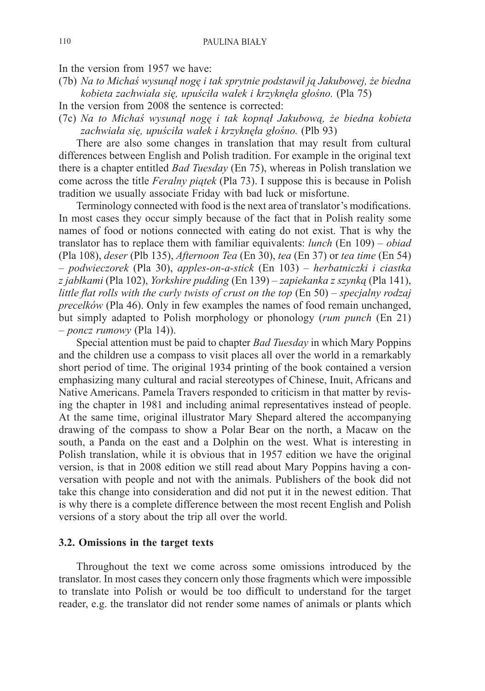In the version from 1957 we have:

(7b) *Na to Michaś wysunął nogę i tak sprytnie podstawił ją Jakubowej, że biedna kobieta zachwiała się, upuściła wałek i krzyknęła głośno.* (Pla 75)

In the version from 2008 the sentence is corrected:

(7c) *Na to Michaś wysunął nogę i tak kopnął Jakubową, że biedna kobieta zachwiała się, upuściła wałek i krzyknęła głośno.* (Plb 93)

There are also some changes in translation that may result from cultural differences between English and Polish tradition. For example in the original text there is a chapter entitled *Bad Tuesday* (En 75), whereas in Polish translation we come across the title *Feralny piątek* (Pla 73). I suppose this is because in Polish tradition we usually associate Friday with bad luck or misfortune.

Terminology connected with food is the next area of translator's modifications. In most cases they occur simply because of the fact that in Polish reality some names of food or notions connected with eating do not exist. That is why the translator has to replace them with familiar equivalents: *lunch* (En 109) – *obiad* (Pla 108), *deser* (Plb 135), *Afternoon Tea* (En 30), *tea* (En 37) or *tea time* (En 54) – *podwieczorek* (Pla 30), *apples-on-a-stick* (En 103) – *herbatniczki i ciastka z jabłkami* (Pla 102), *Yorkshire pudding* (En 139) – *zapiekanka z szynką* (Pla 141), *little flat rolls with the curly twists of crust on the top* (En 50) – *specjalny rodzaj precelków* (Pla 46). Only in few examples the names of food remain unchanged, but simply adapted to Polish morphology or phonology (*rum punch* (En 21) – *poncz rumowy* (Pla 14)).

Special attention must be paid to chapter *Bad Tuesday* in which Mary Poppins and the children use a compass to visit places all over the world in a remarkably short period of time. The original 1934 printing of the book contained a version emphasizing many cultural and racial stereotypes of Chinese, Inuit, Africans and Native Americans. Pamela Travers responded to criticism in that matter by revising the chapter in 1981 and including animal representatives instead of people. At the same time, original illustrator Mary Shepard altered the accompanying drawing of the compass to show a Polar Bear on the north, a Macaw on the south, a Panda on the east and a Dolphin on the west. What is interesting in Polish translation, while it is obvious that in 1957 edition we have the original version, is that in 2008 edition we still read about Mary Poppins having a conversation with people and not with the animals. Publishers of the book did not take this change into consideration and did not put it in the newest edition. That is why there is a complete difference between the most recent English and Polish versions of a story about the trip all over the world.

#### **3.2. Omissions in the target texts**

Throughout the text we come across some omissions introduced by the translator. In most cases they concern only those fragments which were impossible to translate into Polish or would be too difficult to understand for the target reader, e.g. the translator did not render some names of animals or plants which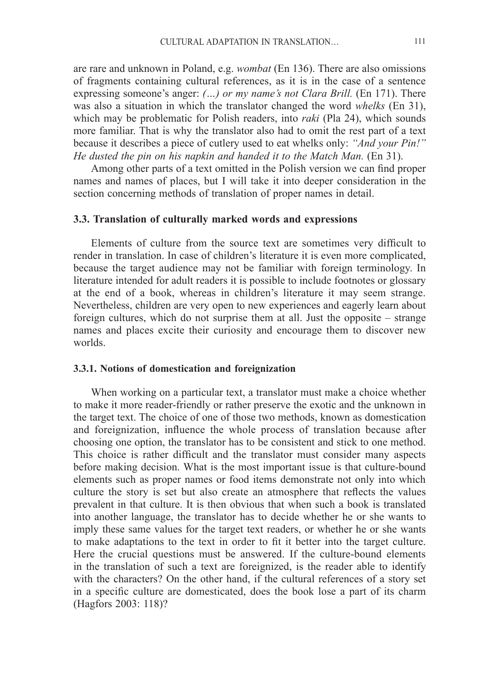are rare and unknown in Poland, e.g. *wombat* (En 136). There are also omissions of fragments containing cultural references, as it is in the case of a sentence expressing someone's anger: *(…) or my name's not Clara Brill.* (En 171). There was also a situation in which the translator changed the word *whelks* (En 31), which may be problematic for Polish readers, into *raki* (Pla 24), which sounds more familiar. That is why the translator also had to omit the rest part of a text because it describes a piece of cutlery used to eat whelks only: *"And your Pin!" He dusted the pin on his napkin and handed it to the Match Man.* (En 31).

Among other parts of a text omitted in the Polish version we can find proper names and names of places, but I will take it into deeper consideration in the section concerning methods of translation of proper names in detail.

#### **3.3. Translation of culturally marked words and expressions**

Elements of culture from the source text are sometimes very difficult to render in translation. In case of children's literature it is even more complicated, because the target audience may not be familiar with foreign terminology. In literature intended for adult readers it is possible to include footnotes or glossary at the end of a book, whereas in children's literature it may seem strange. Nevertheless, children are very open to new experiences and eagerly learn about foreign cultures, which do not surprise them at all. Just the opposite – strange names and places excite their curiosity and encourage them to discover new worlds.

#### **3.3.1. Notions of domestication and foreignization**

When working on a particular text, a translator must make a choice whether to make it more reader-friendly or rather preserve the exotic and the unknown in the target text. The choice of one of those two methods, known as domestication and foreignization, influence the whole process of translation because after choosing one option, the translator has to be consistent and stick to one method. This choice is rather difficult and the translator must consider many aspects before making decision. What is the most important issue is that culture-bound elements such as proper names or food items demonstrate not only into which culture the story is set but also create an atmosphere that reflects the values prevalent in that culture. It is then obvious that when such a book is translated into another language, the translator has to decide whether he or she wants to imply these same values for the target text readers, or whether he or she wants to make adaptations to the text in order to fit it better into the target culture. Here the crucial questions must be answered. If the culture-bound elements in the translation of such a text are foreignized, is the reader able to identify with the characters? On the other hand, if the cultural references of a story set in a specific culture are domesticated, does the book lose a part of its charm (Hagfors 2003: 118)?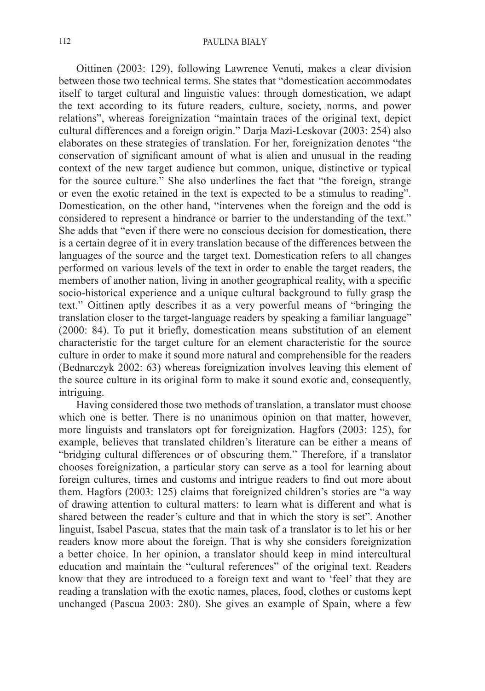Oittinen (2003: 129), following Lawrence Venuti, makes a clear division between those two technical terms. She states that "domestication accommodates itself to target cultural and linguistic values: through domestication, we adapt the text according to its future readers, culture, society, norms, and power relations", whereas foreignization "maintain traces of the original text, depict cultural differences and a foreign origin." Darja Mazi-Leskovar (2003: 254) also elaborates on these strategies of translation. For her, foreignization denotes "the conservation of significant amount of what is alien and unusual in the reading context of the new target audience but common, unique, distinctive or typical for the source culture." She also underlines the fact that "the foreign, strange or even the exotic retained in the text is expected to be a stimulus to reading". Domestication, on the other hand, "intervenes when the foreign and the odd is considered to represent a hindrance or barrier to the understanding of the text." She adds that "even if there were no conscious decision for domestication, there is a certain degree of it in every translation because of the differences between the languages of the source and the target text. Domestication refers to all changes performed on various levels of the text in order to enable the target readers, the members of another nation, living in another geographical reality, with a specific socio-historical experience and a unique cultural background to fully grasp the text." Oittinen aptly describes it as a very powerful means of "bringing the translation closer to the target-language readers by speaking a familiar language" (2000: 84). To put it briefly, domestication means substitution of an element characteristic for the target culture for an element characteristic for the source culture in order to make it sound more natural and comprehensible for the readers (Bednarczyk 2002: 63) whereas foreignization involves leaving this element of the source culture in its original form to make it sound exotic and, consequently, intriguing.

Having considered those two methods of translation, a translator must choose which one is better. There is no unanimous opinion on that matter, however, more linguists and translators opt for foreignization. Hagfors (2003: 125), for example, believes that translated children's literature can be either a means of "bridging cultural differences or of obscuring them." Therefore, if a translator chooses foreignization, a particular story can serve as a tool for learning about foreign cultures, times and customs and intrigue readers to find out more about them. Hagfors (2003: 125) claims that foreignized children's stories are "a way of drawing attention to cultural matters: to learn what is different and what is shared between the reader's culture and that in which the story is set". Another linguist, Isabel Pascua, states that the main task of a translator is to let his or her readers know more about the foreign. That is why she considers foreignization a better choice. In her opinion, a translator should keep in mind intercultural education and maintain the "cultural references" of the original text. Readers know that they are introduced to a foreign text and want to 'feel' that they are reading a translation with the exotic names, places, food, clothes or customs kept unchanged (Pascua 2003: 280). She gives an example of Spain, where a few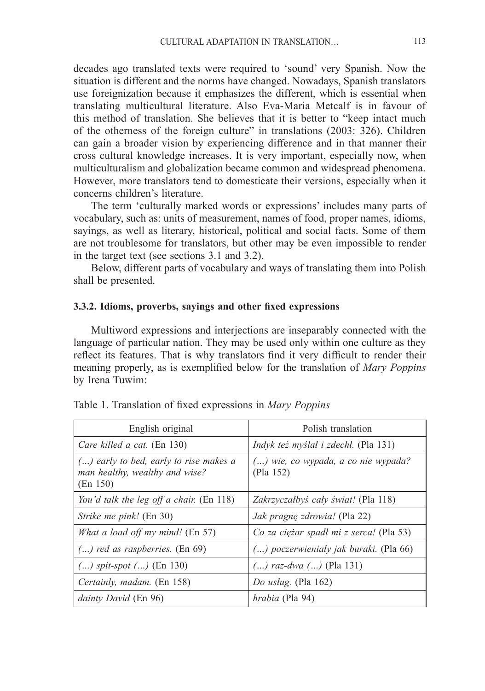decades ago translated texts were required to 'sound' very Spanish. Now the situation is different and the norms have changed. Nowadays, Spanish translators use foreignization because it emphasizes the different, which is essential when translating multicultural literature. Also Eva-Maria Metcalf is in favour of this method of translation. She believes that it is better to "keep intact much of the otherness of the foreign culture" in translations (2003: 326). Children can gain a broader vision by experiencing difference and in that manner their cross cultural knowledge increases. It is very important, especially now, when multiculturalism and globalization became common and widespread phenomena. However, more translators tend to domesticate their versions, especially when it concerns children's literature.

The term 'culturally marked words or expressions' includes many parts of vocabulary, such as: units of measurement, names of food, proper names, idioms, sayings, as well as literary, historical, political and social facts. Some of them are not troublesome for translators, but other may be even impossible to render in the target text (see sections 3.1 and 3.2).

Below, different parts of vocabulary and ways of translating them into Polish shall be presented.

#### **3.3.2. Idioms, proverbs, sayings and other fixed expressions**

Multiword expressions and interjections are inseparably connected with the language of particular nation. They may be used only within one culture as they reflect its features. That is why translators find it very difficult to render their meaning properly, as is exemplified below for the translation of *Mary Poppins* by Irena Tuwim:

| English original                                                                       | Polish translation                                 |
|----------------------------------------------------------------------------------------|----------------------------------------------------|
| Care killed a cat. (En 130)                                                            | <i>Indyk też myślał i zdechł.</i> (Pla 131)        |
| $()$ early to bed, early to rise makes a<br>man healthy, wealthy and wise?<br>(En 150) | $()$ wie, co wypada, a co nie wypada?<br>(Pla 152) |
| You'd talk the leg off a chair. (En 118)                                               | Zakrzyczałbyś cały świat! (Pla 118)                |
| <i>Strike me pink!</i> (En 30)                                                         | Jak pragnę zdrowia! (Pla 22)                       |
| What a load off my mind! (En 57)                                                       | Co za ciężar spadł mi z serca! (Pla 53)            |
| $()$ red as raspberries. $(En 69)$                                                     | () poczerwieniały jak buraki. (Pla 66)             |
| $()$ spit-spot $()$ (En 130)                                                           | $()$ raz-dwa $()$ (Pla 131)                        |
| Certainly, madam. (En 158)                                                             | Do usług. (Pla 162)                                |
| <i>dainty David</i> (En 96)                                                            | <i>hrabia</i> (Pla 94)                             |

Table 1. Translation of fixed expressions in *Mary Poppins*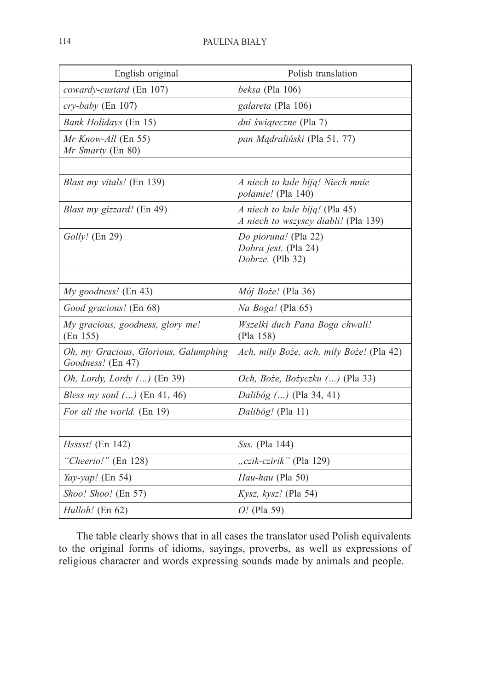| English original                                           | Polish translation                                                     |
|------------------------------------------------------------|------------------------------------------------------------------------|
| cowardy-custard (En 107)                                   | beksa (Pla 106)                                                        |
| cry-baby (En 107)                                          | galareta (Pla 106)                                                     |
| Bank Holidays (En 15)                                      | dni świąteczne (Pla 7)                                                 |
| Mr Know-All (En 55)<br>Mr Smarty (En 80)                   | pan Mądraliński (Pla 51, 77)                                           |
|                                                            |                                                                        |
| <i>Blast my vitals!</i> (En 139)                           | A niech to kule biją! Niech mnie<br><i>połamie!</i> (Pla 140)          |
| Blast my gizzard! (En 49)                                  | A niech to kule biją! (Pla 45)<br>A niech to wszyscy diabli! (Pla 139) |
| <i>Golly!</i> (En 29)                                      | Do pioruna! (Pla 22)<br>Dobra jest. (Pla 24)<br>Dobrze. (Plb 32)       |
|                                                            |                                                                        |
| $My$ goodness! (En 43)                                     | $M\acute{o}j$ Boże! (Pla 36)                                           |
| Good gracious! (En 68)                                     | Na Boga! (Pla 65)                                                      |
| My gracious, goodness, glory me!<br>(En 155)               | Wszelki duch Pana Boga chwali!<br>(Pla 158)                            |
| Oh, my Gracious, Glorious, Galumphing<br>Goodness! (En 47) | Ach, mily Boże, ach, mily Boże! (Pla 42)                               |
| Oh, Lordy, Lordy () (En 39)                                | Och, Boże, Bożyczku () (Pla 33)                                        |
| <i>Bless my soul</i> $()$ (En 41, 46)                      | Dalibóg () (Pla 34, 41)                                                |
| For all the world. (En 19)                                 | Dalibóg! (Pla 11)                                                      |
|                                                            |                                                                        |
| Hsssst! (En 142)                                           | Sss. (Pla 144)                                                         |
| "Cheerio!" (En 128)                                        | "czik-czirik" (Pla 129)                                                |
| Yay-yap! (En 54)                                           | Hau-hau (Pla 50)                                                       |
| Shoo! Shoo! (En 57)                                        | Kysz, kysz! (Pla 54)                                                   |
| Hulloh! (En 62)                                            | $O$ ! (Pla 59)                                                         |

The table clearly shows that in all cases the translator used Polish equivalents to the original forms of idioms, sayings, proverbs, as well as expressions of religious character and words expressing sounds made by animals and people.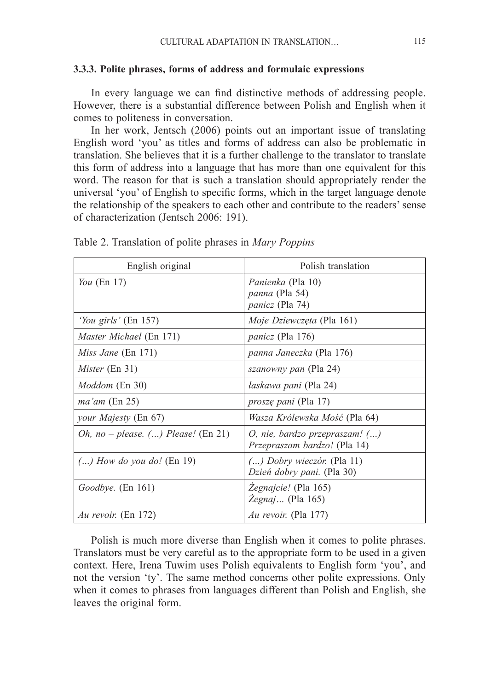#### **3.3.3. Polite phrases, forms of address and formulaic expressions**

In every language we can find distinctive methods of addressing people. However, there is a substantial difference between Polish and English when it comes to politeness in conversation.

In her work, Jentsch (2006) points out an important issue of translating English word 'you' as titles and forms of address can also be problematic in translation. She believes that it is a further challenge to the translator to translate this form of address into a language that has more than one equivalent for this word. The reason for that is such a translation should appropriately render the universal 'you' of English to specific forms, which in the target language denote the relationship of the speakers to each other and contribute to the readers' sense of characterization (Jentsch 2006: 191).

| English original                        | Polish translation                                                         |
|-----------------------------------------|----------------------------------------------------------------------------|
| You $(En 17)$                           | Panienka (Pla 10)<br>panna (Pla 54)<br><i>panicz</i> (Pla 74)              |
| 'You girls' (En 157)                    | <i>Moje Dziewczęta</i> (Pla 161)                                           |
| <i>Master Michael</i> (En 171)          | <i>panicz</i> (Pla 176)                                                    |
| <i>Miss Jane</i> (En 171)               | panna Janeczka (Pla 176)                                                   |
| <i>Mister</i> (En 31)                   | <i>szanowny pan</i> (Pla 24)                                               |
| <i>Moddom</i> (En 30)                   | łaskawa pani (Pla 24)                                                      |
| $ma'$ am (En 25)                        | <i>proszę pani</i> (Pla 17)                                                |
| your Majesty (En 67)                    | <i>Wasza Królewska Mość</i> (Pla 64)                                       |
| Oh, no – please. $()$ Please! $(En 21)$ | $O$ , nie, bardzo przepraszam! $()$<br><i>Przepraszam bardzo!</i> (Pla 14) |
| $()$ How do you do! (En 19)             | $()$ Dobry wieczór. (Pla 11)<br>Dzień dobry pani. (Pla 30)                 |
| Goodbye. (En 161)                       | Zegnajcie! (Pla 165)<br><i>Zegnaj</i> (Pla 165)                            |
| Au revoir. (En 172)                     | <i>Au revoir.</i> (Pla 177)                                                |

Table 2. Translation of polite phrases in *Mary Poppins*

Polish is much more diverse than English when it comes to polite phrases. Translators must be very careful as to the appropriate form to be used in a given context. Here, Irena Tuwim uses Polish equivalents to English form 'you', and not the version 'ty'. The same method concerns other polite expressions. Only when it comes to phrases from languages different than Polish and English, she leaves the original form.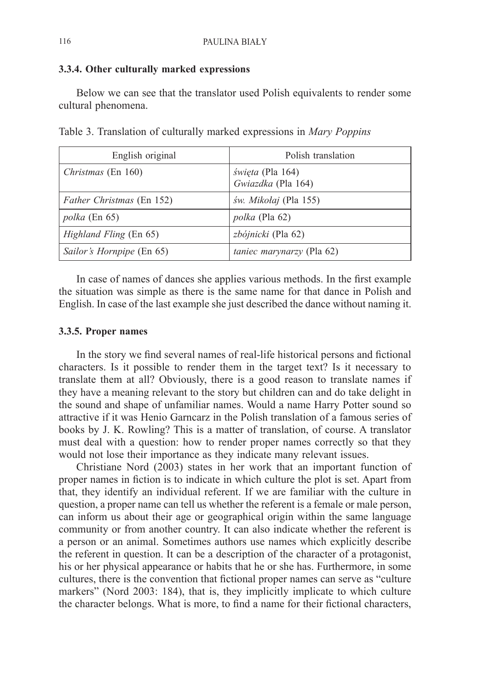#### **3.3.4. Other culturally marked expressions**

Below we can see that the translator used Polish equivalents to render some cultural phenomena.

| Table 3. Translation of culturally marked expressions in <i>Mary Poppins</i> |  |  |
|------------------------------------------------------------------------------|--|--|
|------------------------------------------------------------------------------|--|--|

| English original                 | Polish translation                            |
|----------------------------------|-----------------------------------------------|
| Christmas (En 160)               | <i>święta</i> (Pla 164)<br>Gwiazdka (Pla 164) |
| <i>Father Christmas</i> (En 152) | św. Mikołaj (Pla 155)                         |
| <i>polka</i> (En 65)             | <i>polka</i> (Pla 62)                         |
| <i>Highland Fling</i> (En 65)    | zbójnicki (Pla 62)                            |
| Sailor's Hornpipe (En 65)        | <i>taniec marynarzy</i> (Pla 62)              |

In case of names of dances she applies various methods. In the first example the situation was simple as there is the same name for that dance in Polish and English. In case of the last example she just described the dance without naming it.

## **3.3.5. Proper names**

In the story we find several names of real-life historical persons and fictional characters. Is it possible to render them in the target text? Is it necessary to translate them at all? Obviously, there is a good reason to translate names if they have a meaning relevant to the story but children can and do take delight in the sound and shape of unfamiliar names. Would a name Harry Potter sound so attractive if it was Henio Garncarz in the Polish translation of a famous series of books by J. K. Rowling? This is a matter of translation, of course. A translator must deal with a question: how to render proper names correctly so that they would not lose their importance as they indicate many relevant issues.

Christiane Nord (2003) states in her work that an important function of proper names in fiction is to indicate in which culture the plot is set. Apart from that, they identify an individual referent. If we are familiar with the culture in question, a proper name can tell us whether the referent is a female or male person, can inform us about their age or geographical origin within the same language community or from another country. It can also indicate whether the referent is a person or an animal. Sometimes authors use names which explicitly describe the referent in question. It can be a description of the character of a protagonist, his or her physical appearance or habits that he or she has. Furthermore, in some cultures, there is the convention that fictional proper names can serve as "culture markers" (Nord 2003: 184), that is, they implicitly implicate to which culture the character belongs. What is more, to find a name for their fictional characters,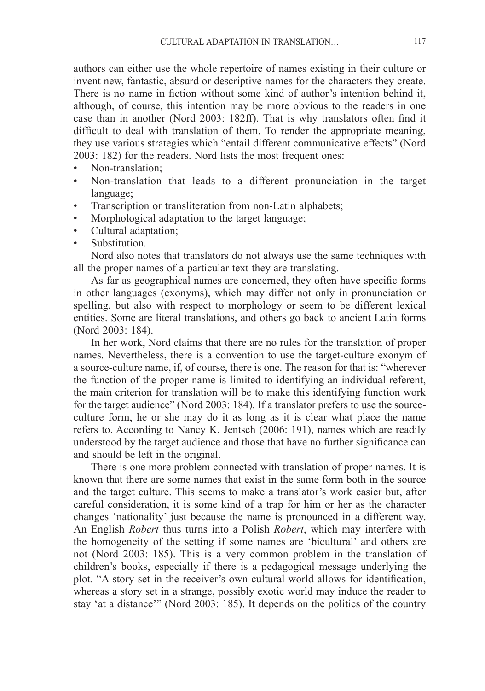authors can either use the whole repertoire of names existing in their culture or invent new, fantastic, absurd or descriptive names for the characters they create. There is no name in fiction without some kind of author's intention behind it, although, of course, this intention may be more obvious to the readers in one case than in another (Nord 2003: 182ff). That is why translators often find it difficult to deal with translation of them. To render the appropriate meaning, they use various strategies which "entail different communicative effects" (Nord 2003: 182) for the readers. Nord lists the most frequent ones:

- Non-translation;<br>• Non-translation
- Non-translation that leads to a different pronunciation in the target language;
- Transcription or transliteration from non-Latin alphabets;
- Morphological adaptation to the target language;
- Cultural adaptation;
- Substitution.

Nord also notes that translators do not always use the same techniques with all the proper names of a particular text they are translating.

As far as geographical names are concerned, they often have specific forms in other languages (exonyms), which may differ not only in pronunciation or spelling, but also with respect to morphology or seem to be different lexical entities. Some are literal translations, and others go back to ancient Latin forms (Nord 2003: 184).

In her work, Nord claims that there are no rules for the translation of proper names. Nevertheless, there is a convention to use the target-culture exonym of a source-culture name, if, of course, there is one. The reason for that is: "wherever the function of the proper name is limited to identifying an individual referent, the main criterion for translation will be to make this identifying function work for the target audience" (Nord 2003: 184). If a translator prefers to use the sourceculture form, he or she may do it as long as it is clear what place the name refers to. According to Nancy K. Jentsch (2006: 191), names which are readily understood by the target audience and those that have no further significance can and should be left in the original.

There is one more problem connected with translation of proper names. It is known that there are some names that exist in the same form both in the source and the target culture. This seems to make a translator's work easier but, after careful consideration, it is some kind of a trap for him or her as the character changes 'nationality' just because the name is pronounced in a different way. An English *Robert* thus turns into a Polish *Robert*, which may interfere with the homogeneity of the setting if some names are 'bicultural' and others are not (Nord 2003: 185). This is a very common problem in the translation of children's books, especially if there is a pedagogical message underlying the plot. "A story set in the receiver's own cultural world allows for identification, whereas a story set in a strange, possibly exotic world may induce the reader to stay 'at a distance'" (Nord 2003: 185). It depends on the politics of the country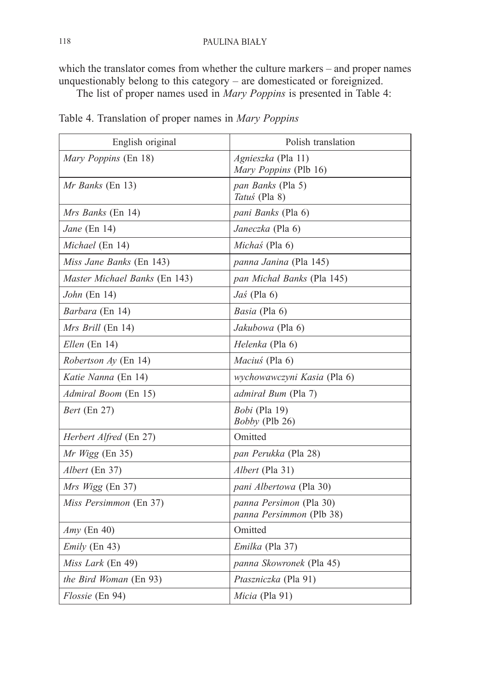which the translator comes from whether the culture markers – and proper names unquestionably belong to this category – are domesticated or foreignized.

The list of proper names used in *Mary Poppins* is presented in Table 4:

| English original              | Polish translation                                         |
|-------------------------------|------------------------------------------------------------|
| Mary Poppins (En 18)          | Agnieszka (Pla 11)<br>Mary Poppins (Plb 16)                |
| <i>Mr Banks</i> (En 13)       | pan Banks (Pla 5)<br>Tatuś (Pla 8)                         |
| Mrs Banks (En 14)             | pani Banks (Pla 6)                                         |
| Jane (En 14)                  | Janeczka (Pla 6)                                           |
| Michael (En 14)               | Michas (Pla 6)                                             |
| Miss Jane Banks (En 143)      | <i>panna Janina</i> (Pla 145)                              |
| Master Michael Banks (En 143) | pan Michał Banks (Pla 145)                                 |
| <i>John</i> (En 14)           | $Jas$ (Pla 6)                                              |
| <i>Barbara</i> (En 14)        | <i>Basia</i> (Pla 6)                                       |
| <i>Mrs Brill</i> (En 14)      | Jakubowa (Pla 6)                                           |
| Ellen (En 14)                 | Helenka (Pla 6)                                            |
| <i>Robertson Ay</i> (En 14)   | <i>Macius</i> (Pla 6)                                      |
| Katie Nanna (En 14)           | wychowawczyni Kasia (Pla 6)                                |
| <i>Admiral Boom</i> (En 15)   | <i>admirał Bum</i> (Pla 7)                                 |
| <i>Bert</i> (En 27)           | <i>Bobi</i> (Pla 19)<br><i>Bobby</i> (Plb 26)              |
| <i>Herbert Alfred</i> (En 27) | Omitted                                                    |
| Mr Wigg (En 35)               | <i>pan Perukka</i> (Pla 28)                                |
| Albert (En 37)                | <i>Albert</i> (Pla 31)                                     |
| Mrs Wigg (En 37)              | <i>pani Albertowa</i> (Pla 30)                             |
| Miss Persimmon (En 37)        | panna Persimon (Pla 30)<br><i>panna Persimmon</i> (Plb 38) |
| $Amy$ (En 40)                 | Omitted                                                    |
| $Emily$ (En 43)               | Emilka (Pla 37)                                            |
| <i>Miss Lark</i> (En 49)      | panna Skowronek (Pla 45)                                   |
| <i>the Bird Woman</i> (En 93) | <i>Ptaszniczka</i> (Pla 91)                                |
| <i>Flossie</i> (En 94)        | Micia (Pla 91)                                             |

Table 4. Translation of proper names in *Mary Poppins*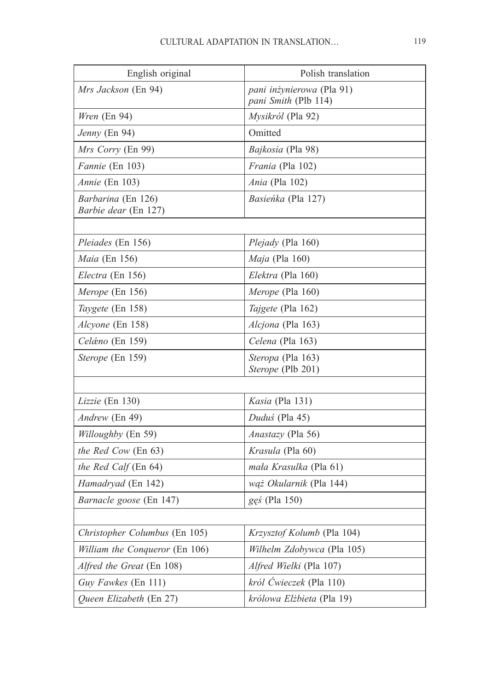| English original                                  | Polish translation                                       |
|---------------------------------------------------|----------------------------------------------------------|
| Mrs Jackson (En 94)                               | pani inżynierowa (Pla 91)<br><i>pani Smith</i> (Plb 114) |
| Wren (En 94)                                      | Mysikról (Pla 92)                                        |
| <i>Jenny</i> (En 94)                              | Omitted                                                  |
| Mrs Corry (En 99)                                 | Bajkosia (Pla 98)                                        |
| Fannie (En 103)                                   | Frania (Pla 102)                                         |
| <i>Annie</i> (En 103)                             | Ania (Pla 102)                                           |
| <i>Barbarina</i> (En 126)<br>Barbie dear (En 127) | <i>Basieńka</i> (Pla 127)                                |
|                                                   |                                                          |
| Pleiades (En 156)                                 | <i>Plejady</i> (Pla 160)                                 |
| Maia (En 156)                                     | <i>Maja</i> (Pla 160)                                    |
| <i>Electra</i> (En 156)                           | Elektra (Pla 160)                                        |
| <i>Merope</i> (En 156)                            | <i>Merope</i> (Pla 160)                                  |
| Taygete (En 158)                                  | Tajgete (Pla 162)                                        |
| Alcyone (En 158)                                  | Alcjona (Pla 163)                                        |
| <i>Celáno</i> (En 159)                            | Celena (Pla 163)                                         |
| <i>Sterope</i> (En 159)                           | Steropa (Pla 163)<br><i>Sterope</i> (Plb 201)            |
|                                                   |                                                          |
| Lizzie (En 130)                                   | <i>Kasia</i> (Pla 131)                                   |
| Andrew (En 49)                                    | Duduś (Pla 45)                                           |
| <i>Willoughby</i> (En 59)                         | <i>Anastazy</i> (Pla 56)                                 |
| <i>the Red Cow</i> (En 63)                        | <i>Krasula</i> (Pla 60)                                  |
| <i>the Red Calf</i> (En 64)                       | mała Krasulka (Pla 61)                                   |
| Hamadryad (En 142)                                | wąż Okularnik (Pla 144)                                  |
| Barnacle goose (En 147)                           | gęś (Pla 150)                                            |
|                                                   |                                                          |
| Christopher Columbus (En 105)                     | Krzysztof Kolumb (Pla 104)                               |
| <i>William the Conqueror</i> (En 106)             | <i>Wilhelm Zdobywca</i> (Pla 105)                        |
| Alfred the Great (En 108)                         | Alfred Wielki (Pla 107)                                  |
| Guy Fawkes (En 111)                               | król Ćwieczek (Pla 110)                                  |
| Queen Elizabeth (En 27)                           | królowa Elżbieta (Pla 19)                                |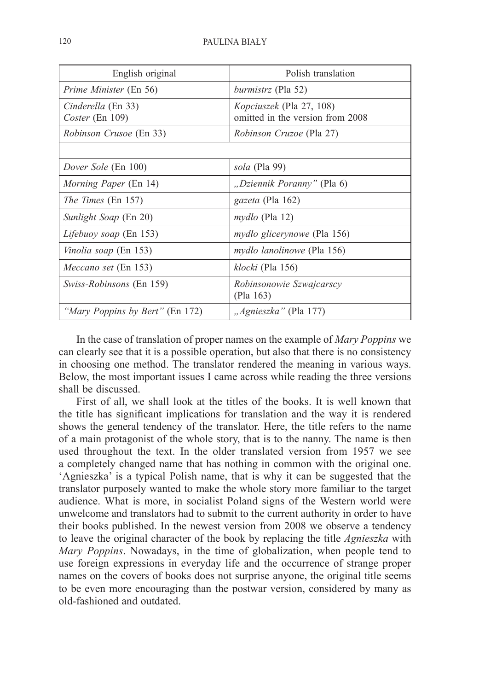| English original                      | Polish translation                                                  |
|---------------------------------------|---------------------------------------------------------------------|
| <i>Prime Minister</i> (En 56)         | <i>burmistrz</i> (Pla 52)                                           |
| Cinderella (En 33)<br>Coster (En 109) | <i>Kopciuszek</i> (Pla 27, 108)<br>omitted in the version from 2008 |
| <i>Robinson Crusoe</i> (En 33)        | <i>Robinson Cruzoe</i> (Pla 27)                                     |
|                                       |                                                                     |
| Dover Sole (En 100)                   | sola (Pla 99)                                                       |
| <i>Morning Paper</i> (En 14)          | "Dziennik Poranny" (Pla 6)                                          |
| <i>The Times</i> (En 157)             | gazeta (Pla 162)                                                    |
| <i>Sunlight Soap</i> (En 20)          | $mydto$ (Pla 12)                                                    |
| Lifebuoy soap (En 153)                | <i>mydło glicerynowe</i> (Pla 156)                                  |
| <i>Vinolia soap</i> (En 153)          | <i>mydło lanolinowe</i> (Pla 156)                                   |
| Meccano set (En 153)                  | klocki (Pla 156)                                                    |
| <i>Swiss-Robinsons</i> (En 159)       | Robinsonowie Szwajcarscy<br>(Pla 163)                               |
| "Mary Poppins by Bert" (En 172)       | " <i>Agnieszka"</i> (Pla 177)                                       |

In the case of translation of proper names on the example of *Mary Poppins* we can clearly see that it is a possible operation, but also that there is no consistency in choosing one method. The translator rendered the meaning in various ways. Below, the most important issues I came across while reading the three versions shall be discussed.

First of all, we shall look at the titles of the books. It is well known that the title has significant implications for translation and the way it is rendered shows the general tendency of the translator. Here, the title refers to the name of a main protagonist of the whole story, that is to the nanny. The name is then used throughout the text. In the older translated version from 1957 we see a completely changed name that has nothing in common with the original one. 'Agnieszka' is a typical Polish name, that is why it can be suggested that the translator purposely wanted to make the whole story more familiar to the target audience. What is more, in socialist Poland signs of the Western world were unwelcome and translators had to submit to the current authority in order to have their books published. In the newest version from 2008 we observe a tendency to leave the original character of the book by replacing the title *Agnieszka* with *Mary Poppins*. Nowadays, in the time of globalization, when people tend to use foreign expressions in everyday life and the occurrence of strange proper names on the covers of books does not surprise anyone, the original title seems to be even more encouraging than the postwar version, considered by many as old-fashioned and outdated.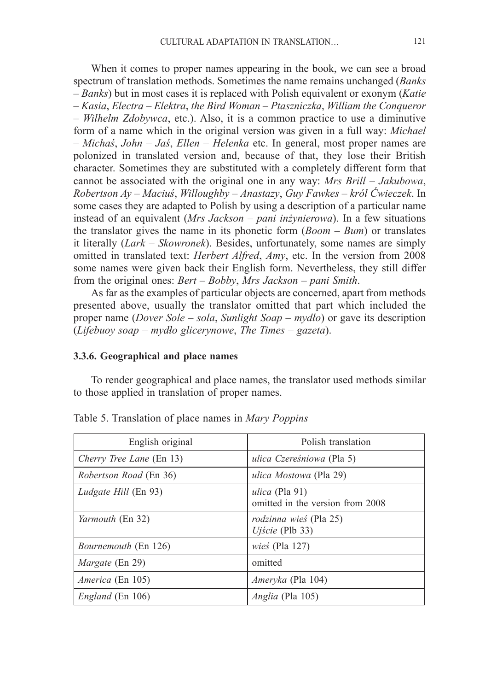When it comes to proper names appearing in the book, we can see a broad spectrum of translation methods. Sometimes the name remains unchanged (*Banks* – *Banks*) but in most cases it is replaced with Polish equivalent or exonym (*Katie* – *Kasia*, *Electra* – *Elektra*, *the Bird Woman* – *Ptaszniczka*, *William the Conqueror* – *Wilhelm Zdobywca*, etc.). Also, it is a common practice to use a diminutive form of a name which in the original version was given in a full way: *Michael* – *Michaś*, *John* – *Jaś*, *Ellen* – *Helenka* etc. In general, most proper names are polonized in translated version and, because of that, they lose their British character. Sometimes they are substituted with a completely different form that cannot be associated with the original one in any way: *Mrs Brill* – *Jakubowa*, *Robertson Ay* – *Maciuś*, *Willoughby* – *Anastazy*, *Guy Fawkes* – *król Ćwieczek*. In some cases they are adapted to Polish by using a description of a particular name instead of an equivalent (*Mrs Jackson* – *pani inżynierowa*). In a few situations the translator gives the name in its phonetic form (*Boom* – *Bum*) or translates it literally (*Lark* – *Skowronek*). Besides, unfortunately, some names are simply omitted in translated text: *Herbert Alfred*, *Amy*, etc. In the version from 2008 some names were given back their English form. Nevertheless, they still differ from the original ones: *Bert* – *Bobby*, *Mrs Jackson* – *pani Smith*.

As far as the examples of particular objects are concerned, apart from methods presented above, usually the translator omitted that part which included the proper name (*Dover Sole* – *sola*, *Sunlight Soap* – *mydło*) or gave its description (*Lifebuoy soap* – *mydło glicerynowe*, *The Times* – *gazeta*).

#### **3.3.6. Geographical and place names**

To render geographical and place names, the translator used methods similar to those applied in translation of proper names.

| English original            | Polish translation                                  |
|-----------------------------|-----------------------------------------------------|
| Cherry Tree Lane (En 13)    | ulica Czereśniowa (Pla 5)                           |
| Robertson Road (En 36)      | ulica Mostowa (Pla 29)                              |
| <i>Ludgate Hill</i> (En 93) | ulica (Pla 91)<br>omitted in the version from 2008  |
| <i>Yarmouth</i> (En 32)     | rodzinna wieś (Pla 25)<br>$Uj\acute{s}cie$ (Plb 33) |
| Bournemouth (En 126)        | <i>wieś</i> (Pla 127)                               |
| <i>Margate</i> (En 29)      | omitted                                             |
| <i>America</i> (En 105)     | <i>Ameryka</i> (Pla 104)                            |
| <i>England</i> (En 106)     | <i>Anglia</i> (Pla 105)                             |

Table 5. Translation of place names in *Mary Poppins*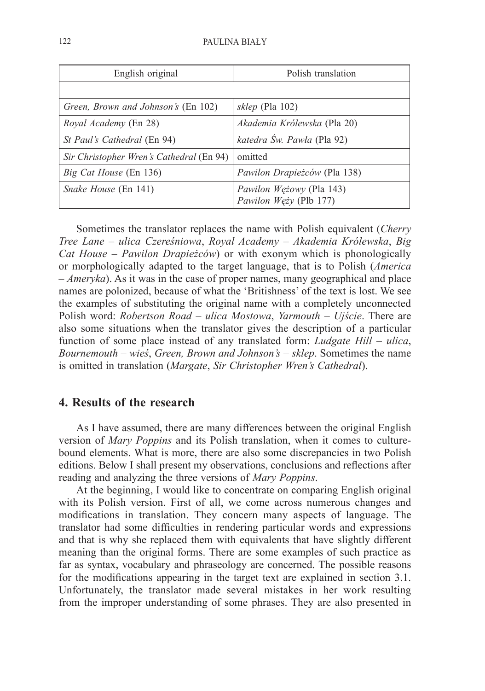| English original                         | Polish translation                                 |
|------------------------------------------|----------------------------------------------------|
|                                          |                                                    |
| Green, Brown and Johnson's (En 102)      | <i>sklep</i> (Pla 102)                             |
| Royal Academy (En 28)                    | Akademia Królewska (Pla 20)                        |
| St Paul's Cathedral (En 94)              | katedra Św. Pawła (Pla 92)                         |
| Sir Christopher Wren's Cathedral (En 94) | omitted                                            |
| Big Cat House (En 136)                   | Pawilon Drapieżców (Pla 138)                       |
| <i>Snake House</i> (En 141)              | Pawilon Wężowy (Pla 143)<br>Pawilon Węży (Plb 177) |

Sometimes the translator replaces the name with Polish equivalent (*Cherry Tree Lane* – *ulica Czereśniowa*, *Royal Academy* – *Akademia Królewska*, *Big Cat House* – *Pawilon Drapieżców*) or with exonym which is phonologically or morphologically adapted to the target language, that is to Polish (*America* – *Ameryka*). As it was in the case of proper names, many geographical and place names are polonized, because of what the 'Britishness' of the text is lost. We see the examples of substituting the original name with a completely unconnected Polish word: *Robertson Road* – *ulica Mostowa*, *Yarmouth* – *Ujście*. There are also some situations when the translator gives the description of a particular function of some place instead of any translated form: *Ludgate Hill* – *ulica*, *Bournemouth* – *wieś*, *Green, Brown and Johnson's* – *sklep*. Sometimes the name is omitted in translation (*Margate*, *Sir Christopher Wren's Cathedral*).

## **4. Results of the research**

As I have assumed, there are many differences between the original English version of *Mary Poppins* and its Polish translation, when it comes to culturebound elements. What is more, there are also some discrepancies in two Polish editions. Below I shall present my observations, conclusions and reflections after reading and analyzing the three versions of *Mary Poppins*.

At the beginning, I would like to concentrate on comparing English original with its Polish version. First of all, we come across numerous changes and modifications in translation. They concern many aspects of language. The translator had some difficulties in rendering particular words and expressions and that is why she replaced them with equivalents that have slightly different meaning than the original forms. There are some examples of such practice as far as syntax, vocabulary and phraseology are concerned. The possible reasons for the modifications appearing in the target text are explained in section 3.1. Unfortunately, the translator made several mistakes in her work resulting from the improper understanding of some phrases. They are also presented in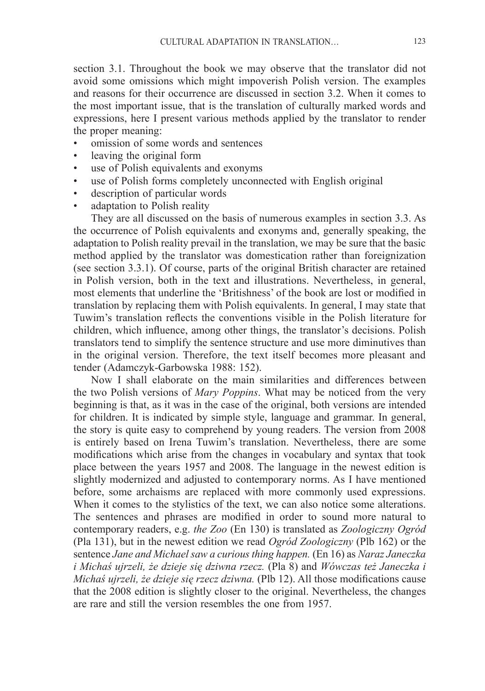section 3.1. Throughout the book we may observe that the translator did not avoid some omissions which might impoverish Polish version. The examples and reasons for their occurrence are discussed in section 3.2. When it comes to the most important issue, that is the translation of culturally marked words and expressions, here I present various methods applied by the translator to render the proper meaning:

- omission of some words and sentences
- leaving the original form
- use of Polish equivalents and exonyms
- use of Polish forms completely unconnected with English original
- description of particular words
- adaptation to Polish reality

They are all discussed on the basis of numerous examples in section 3.3. As the occurrence of Polish equivalents and exonyms and, generally speaking, the adaptation to Polish reality prevail in the translation, we may be sure that the basic method applied by the translator was domestication rather than foreignization (see section 3.3.1). Of course, parts of the original British character are retained in Polish version, both in the text and illustrations. Nevertheless, in general, most elements that underline the 'Britishness' of the book are lost or modified in translation by replacing them with Polish equivalents. In general, I may state that Tuwim's translation reflects the conventions visible in the Polish literature for children, which influence, among other things, the translator's decisions. Polish translators tend to simplify the sentence structure and use more diminutives than in the original version. Therefore, the text itself becomes more pleasant and tender (Adamczyk-Garbowska 1988: 152).

Now I shall elaborate on the main similarities and differences between the two Polish versions of *Mary Poppins*. What may be noticed from the very beginning is that, as it was in the case of the original, both versions are intended for children. It is indicated by simple style, language and grammar. In general, the story is quite easy to comprehend by young readers. The version from 2008 is entirely based on Irena Tuwim's translation. Nevertheless, there are some modifications which arise from the changes in vocabulary and syntax that took place between the years 1957 and 2008. The language in the newest edition is slightly modernized and adjusted to contemporary norms. As I have mentioned before, some archaisms are replaced with more commonly used expressions. When it comes to the stylistics of the text, we can also notice some alterations. The sentences and phrases are modified in order to sound more natural to contemporary readers, e.g. *the Zoo* (En 130) is translated as *Zoologiczny Ogród* (Pla 131), but in the newest edition we read *Ogród Zoologiczny* (Plb 162) or the sentence *Jane and Michael saw a curious thing happen.* (En 16) as *Naraz Janeczka i Michaś ujrzeli, że dzieje się dziwna rzecz.* (Pla 8) and *Wówczas też Janeczka i Michaś ujrzeli, że dzieje się rzecz dziwna.* (Plb 12). All those modifications cause that the 2008 edition is slightly closer to the original. Nevertheless, the changes are rare and still the version resembles the one from 1957.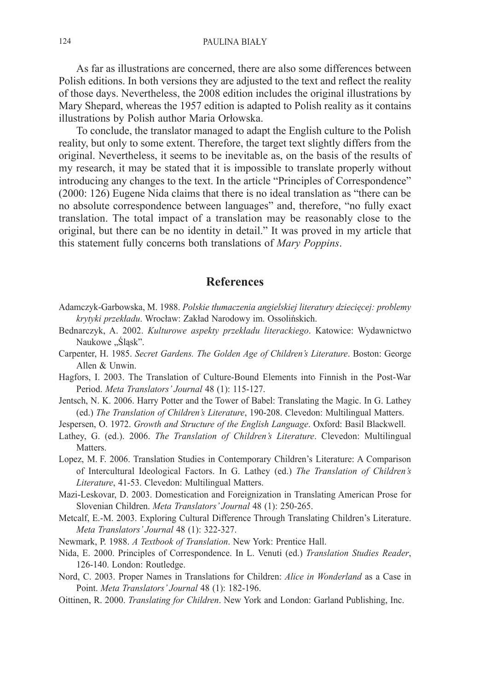As far as illustrations are concerned, there are also some differences between Polish editions. In both versions they are adjusted to the text and reflect the reality of those days. Nevertheless, the 2008 edition includes the original illustrations by Mary Shepard, whereas the 1957 edition is adapted to Polish reality as it contains illustrations by Polish author Maria Orłowska.

To conclude, the translator managed to adapt the English culture to the Polish reality, but only to some extent. Therefore, the target text slightly differs from the original. Nevertheless, it seems to be inevitable as, on the basis of the results of my research, it may be stated that it is impossible to translate properly without introducing any changes to the text. In the article "Principles of Correspondence" (2000: 126) Eugene Nida claims that there is no ideal translation as "there can be no absolute correspondence between languages" and, therefore, "no fully exact translation. The total impact of a translation may be reasonably close to the original, but there can be no identity in detail." It was proved in my article that this statement fully concerns both translations of *Mary Poppins*.

#### **References**

- Adamczyk-Garbowska, M. 1988. *Polskie tłumaczenia angielskiej literatury dziecięcej: problemy krytyki przekładu*. Wrocław: Zakład Narodowy im. Ossolińskich.
- Bednarczyk, A. 2002. *Kulturowe aspekty przekładu literackiego*. Katowice: Wydawnictwo Naukowe "Śląsk".
- Carpenter, H. 1985. *Secret Gardens. The Golden Age of Children's Literature*. Boston: George Allen & Unwin.
- Hagfors, I. 2003. The Translation of Culture-Bound Elements into Finnish in the Post-War Period. *Meta Translators' Journal* 48 (1): 115-127.
- Jentsch, N. K. 2006. Harry Potter and the Tower of Babel: Translating the Magic. In G. Lathey (ed.) *The Translation of Children's Literature*, 190-208. Clevedon: Multilingual Matters.
- Jespersen, O. 1972. *Growth and Structure of the English Language*. Oxford: Basil Blackwell.
- Lathey, G. (ed.). 2006. *The Translation of Children's Literature*. Clevedon: Multilingual Matters.
- Lopez, M. F. 2006. Translation Studies in Contemporary Children's Literature: A Comparison of Intercultural Ideological Factors. In G. Lathey (ed.) *The Translation of Children's Literature*, 41-53. Clevedon: Multilingual Matters.
- Mazi-Leskovar, D. 2003. Domestication and Foreignization in Translating American Prose for Slovenian Children. *Meta Translators' Journal* 48 (1): 250-265.
- Metcalf, E.-M. 2003. Exploring Cultural Difference Through Translating Children's Literature. *Meta Translators' Journal* 48 (1): 322-327.
- Newmark, P. 1988. *A Textbook of Translation*. New York: Prentice Hall.
- Nida, E. 2000. Principles of Correspondence. In L. Venuti (ed.) *Translation Studies Reader*, 126-140. London: Routledge.
- Nord, C. 2003. Proper Names in Translations for Children: *Alice in Wonderland* as a Case in Point. *Meta Translators' Journal* 48 (1): 182-196.
- Oittinen, R. 2000. *Translating for Children*. New York and London: Garland Publishing, Inc.